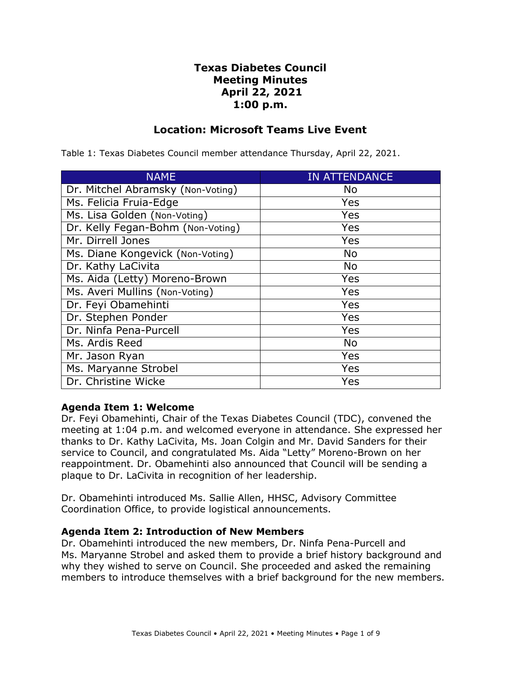# **Texas Diabetes Council Meeting Minutes April 22, 2021 1:00 p.m.**

# **Location: Microsoft Teams Live Event**

| <b>NAME</b>                       | <b>IN ATTENDANCE</b> |
|-----------------------------------|----------------------|
| Dr. Mitchel Abramsky (Non-Voting) | No                   |
| Ms. Felicia Fruia-Edge            | Yes                  |
| Ms. Lisa Golden (Non-Voting)      | Yes                  |
| Dr. Kelly Fegan-Bohm (Non-Voting) | Yes                  |
| Mr. Dirrell Jones                 | Yes                  |
| Ms. Diane Kongevick (Non-Voting)  | <b>No</b>            |
| Dr. Kathy LaCivita                | <b>No</b>            |
| Ms. Aida (Letty) Moreno-Brown     | Yes                  |
| Ms. Averi Mullins (Non-Voting)    | Yes                  |
| Dr. Feyi Obamehinti               | Yes                  |
| Dr. Stephen Ponder                | Yes                  |
| Dr. Ninfa Pena-Purcell            | Yes                  |
| Ms. Ardis Reed                    | <b>No</b>            |
| Mr. Jason Ryan                    | Yes                  |
| Ms. Maryanne Strobel              | Yes                  |
| Dr. Christine Wicke               | Yes                  |

Table 1: Texas Diabetes Council member attendance Thursday, April 22, 2021.

#### **Agenda Item 1: Welcome**

Dr. Feyi Obamehinti, Chair of the Texas Diabetes Council (TDC), convened the meeting at 1:04 p.m. and welcomed everyone in attendance. She expressed her thanks to Dr. Kathy LaCivita, Ms. Joan Colgin and Mr. David Sanders for their service to Council, and congratulated Ms. Aida "Letty" Moreno-Brown on her reappointment. Dr. Obamehinti also announced that Council will be sending a plaque to Dr. LaCivita in recognition of her leadership.

Dr. Obamehinti introduced Ms. Sallie Allen, HHSC, Advisory Committee Coordination Office, to provide logistical announcements.

#### **Agenda Item 2: Introduction of New Members**

Dr. Obamehinti introduced the new members, Dr. Ninfa Pena-Purcell and Ms. Maryanne Strobel and asked them to provide a brief history background and why they wished to serve on Council. She proceeded and asked the remaining members to introduce themselves with a brief background for the new members.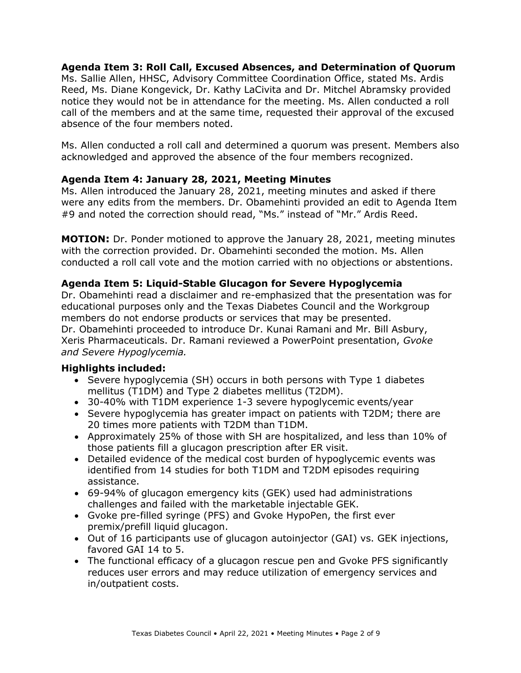### **Agenda Item 3: Roll Call, Excused Absences, and Determination of Quorum**  Ms. Sallie Allen, HHSC, Advisory Committee Coordination Office, stated Ms. Ardis Reed, Ms. Diane Kongevick, Dr. Kathy LaCivita and Dr. Mitchel Abramsky provided notice they would not be in attendance for the meeting. Ms. Allen conducted a roll call of the members and at the same time, requested their approval of the excused absence of the four members noted.

Ms. Allen conducted a roll call and determined a quorum was present. Members also acknowledged and approved the absence of the four members recognized.

# **Agenda Item 4: January 28, 2021, Meeting Minutes**

Ms. Allen introduced the January 28, 2021, meeting minutes and asked if there were any edits from the members. Dr. Obamehinti provided an edit to Agenda Item #9 and noted the correction should read, "Ms." instead of "Mr." Ardis Reed.

**MOTION:** Dr. Ponder motioned to approve the January 28, 2021, meeting minutes with the correction provided. Dr. Obamehinti seconded the motion. Ms. Allen conducted a roll call vote and the motion carried with no objections or abstentions.

# **Agenda Item 5: Liquid-Stable Glucagon for Severe Hypoglycemia**

Dr. Obamehinti read a disclaimer and re-emphasized that the presentation was for educational purposes only and the Texas Diabetes Council and the Workgroup members do not endorse products or services that may be presented. Dr. Obamehinti proceeded to introduce Dr. Kunai Ramani and Mr. Bill Asbury, Xeris Pharmaceuticals. Dr. Ramani reviewed a PowerPoint presentation, *Gvoke and Severe Hypoglycemia.* 

- mellitus (T1DM) and Type 2 diabetes mellitus (T2DM). • Severe hypoglycemia (SH) occurs in both persons with Type 1 diabetes
- 30-40% with T1DM experience 1-3 severe hypoglycemic events/year
- • Severe hypoglycemia has greater impact on patients with T2DM; there are 20 times more patients with T2DM than T1DM.
- • Approximately 25% of those with SH are hospitalized, and less than 10% of those patients fill a glucagon prescription after ER visit.
- Detailed evidence of the medical cost burden of hypoglycemic events was identified from 14 studies for both T1DM and T2DM episodes requiring assistance.
- challenges and failed with the marketable injectable GEK. • 69-94% of glucagon emergency kits (GEK) used had administrations
- premix/prefill liquid glucagon. • Gvoke pre-filled syringe (PFS) and Gvoke HypoPen, the first ever
- favored GAI 14 to 5. • Out of 16 participants use of glucagon autoinjector (GAI) vs. GEK injections,
- in/outpatient costs. • The functional efficacy of a glucagon rescue pen and Gvoke PFS significantly reduces user errors and may reduce utilization of emergency services and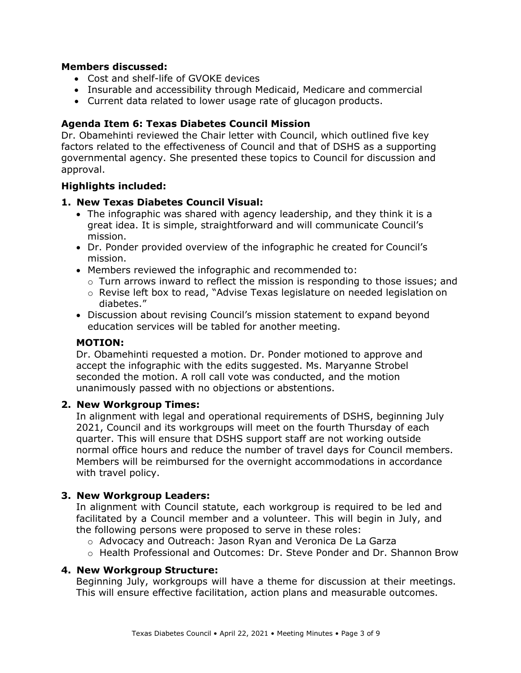### **Members discussed:**

- Cost and shelf-life of GVOKE devices
- Insurable and accessibility through Medicaid, Medicare and commercial
- Current data related to lower usage rate of glucagon products.

### **Agenda Item 6: Texas Diabetes Council Mission**

Dr. Obamehinti reviewed the Chair letter with Council, which outlined five key factors related to the effectiveness of Council and that of DSHS as a supporting governmental agency. She presented these topics to Council for discussion and approval.

## **Highlights included:**

### **1. New Texas Diabetes Council Visual:**

- The infographic was shared with agency leadership, and they think it is a great idea. It is simple, straightforward and will communicate Council's mission.
- • Dr. Ponder provided overview of the infographic he created for Council's mission.
- • Members reviewed the infographic and recommended to:
	- $\circ$  Turn arrows inward to reflect the mission is responding to those issues; and
	- o Revise left box to read, "Advise Texas legislature on needed legislation on diabetes."
- education services will be tabled for another meeting. • Discussion about revising Council's mission statement to expand beyond

#### **MOTION:**

Dr. Obamehinti requested a motion. Dr. Ponder motioned to approve and accept the infographic with the edits suggested. Ms. Maryanne Strobel seconded the motion. A roll call vote was conducted, and the motion unanimously passed with no objections or abstentions.

#### **2. New Workgroup Times:**

In alignment with legal and operational requirements of DSHS, beginning July 2021, Council and its workgroups will meet on the fourth Thursday of each quarter. This will ensure that DSHS support staff are not working outside normal office hours and reduce the number of travel days for Council members. Members will be reimbursed for the overnight accommodations in accordance with travel policy.

#### **3. New Workgroup Leaders:**

 facilitated by a Council member and a volunteer. This will begin in July, and In alignment with Council statute, each workgroup is required to be led and the following persons were proposed to serve in these roles:

- o Advocacy and Outreach: Jason Ryan and Veronica De La Garza
- o Health Professional and Outcomes: Dr. Steve Ponder and Dr. Shannon Brow

#### **4. New Workgroup Structure:**

Beginning July, workgroups will have a theme for discussion at their meetings. This will ensure effective facilitation, action plans and measurable outcomes.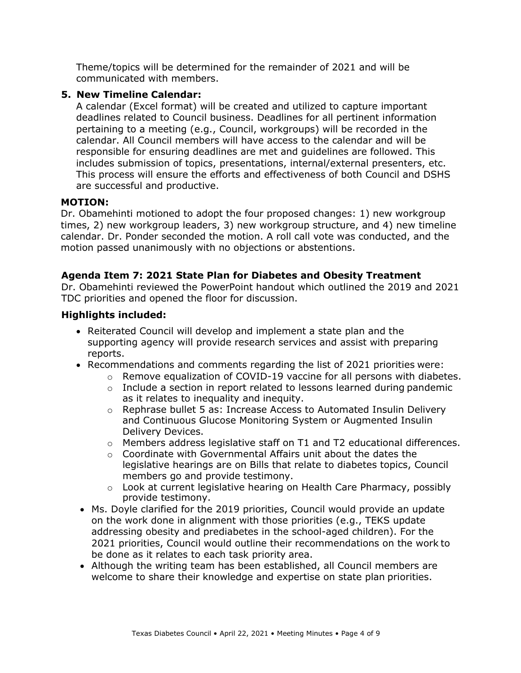Theme/topics will be determined for the remainder of 2021 and will be communicated with members.

# **5. New Timeline Calendar:**

 responsible for ensuring deadlines are met and guidelines are followed. This A calendar (Excel format) will be created and utilized to capture important deadlines related to Council business. Deadlines for all pertinent information pertaining to a meeting (e.g., Council, workgroups) will be recorded in the calendar. All Council members will have access to the calendar and will be includes submission of topics, presentations, internal/external presenters, etc. This process will ensure the efforts and effectiveness of both Council and DSHS are successful and productive.

## **MOTION:**

Dr. Obamehinti motioned to adopt the four proposed changes: 1) new workgroup times, 2) new workgroup leaders, 3) new workgroup structure, and 4) new timeline calendar. Dr. Ponder seconded the motion. A roll call vote was conducted, and the motion passed unanimously with no objections or abstentions.

## **Agenda Item 7: 2021 State Plan for Diabetes and Obesity Treatment**

Dr. Obamehinti reviewed the PowerPoint handout which outlined the 2019 and 2021 TDC priorities and opened the floor for discussion.

- Reiterated Council will develop and implement a state plan and the supporting agency will provide research services and assist with preparing reports.
- • Recommendations and comments regarding the list of 2021 priorities were:
	- $\circ$  Remove equalization of COVID-19 vaccine for all persons with diabetes.
	- as it relates to inequality and inequity. o Include a section in report related to lessons learned during pandemic
	- o Rephrase bullet 5 as: Increase Access to Automated Insulin Delivery Delivery Devices. and Continuous Glucose Monitoring System or Augmented Insulin
	- $\circ$  Members address legislative staff on T1 and T2 educational differences.
	- o Coordinate with Governmental Affairs unit about the dates the legislative hearings are on Bills that relate to diabetes topics, Council members go and provide testimony.
	- $\circ$  Look at current legislative hearing on Health Care Pharmacy, possibly provide testimony.
- addressing obesity and prediabetes in the school-aged children). For the be done as it relates to each task priority area. • Ms. Doyle clarified for the 2019 priorities, Council would provide an update on the work done in alignment with those priorities (e.g., TEKS update 2021 priorities, Council would outline their recommendations on the work to
- welcome to share their knowledge and expertise on state plan priorities. • Although the writing team has been established, all Council members are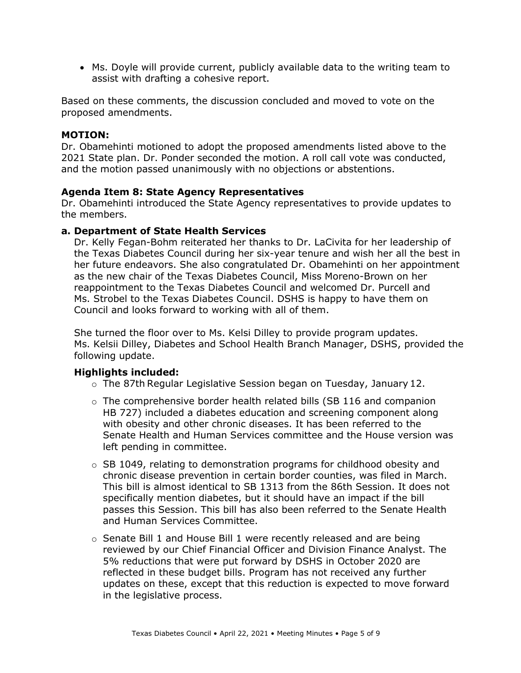assist with drafting a cohesive report. • Ms. Doyle will provide current, publicly available data to the writing team to

Based on these comments, the discussion concluded and moved to vote on the proposed amendments.

### **MOTION:**

Dr. Obamehinti motioned to adopt the proposed amendments listed above to the 2021 State plan. Dr. Ponder seconded the motion. A roll call vote was conducted, and the motion passed unanimously with no objections or abstentions.

#### **Agenda Item 8: State Agency Representatives**

Dr. Obamehinti introduced the State Agency representatives to provide updates to the members.

#### **a. Department of State Health Services**

Dr. Kelly Fegan-Bohm reiterated her thanks to Dr. LaCivita for her leadership of the Texas Diabetes Council during her six-year tenure and wish her all the best in her future endeavors. She also congratulated Dr. Obamehinti on her appointment as the new chair of the Texas Diabetes Council, Miss Moreno-Brown on her reappointment to the Texas Diabetes Council and welcomed Dr. Purcell and Ms. Strobel to the Texas Diabetes Council. DSHS is happy to have them on Council and looks forward to working with all of them.

She turned the floor over to Ms. Kelsi Dilley to provide program updates. Ms. Kelsii Dilley, Diabetes and School Health Branch Manager, DSHS, provided the following update.

- o The 87th Regular Legislative Session began on Tuesday, January 12.
- o The comprehensive border health related bills (SB 116 and companion HB 727) included a diabetes education and screening component along with obesity and other chronic diseases. It has been referred to the Senate Health and Human Services committee and the House version was left pending in committee.
- specifically mention diabetes, but it should have an impact if the bill  $\circ$  SB 1049, relating to demonstration programs for childhood obesity and chronic disease prevention in certain border counties, was filed in March. This bill is almost identical to SB 1313 from the 86th Session. It does not passes this Session. This bill has also been referred to the Senate Health and Human Services Committee.
- 5% reductions that were put forward by DSHS in October 2020 are  $\circ$  Senate Bill 1 and House Bill 1 were recently released and are being reviewed by our Chief Financial Officer and Division Finance Analyst. The reflected in these budget bills. Program has not received any further updates on these, except that this reduction is expected to move forward in the legislative process.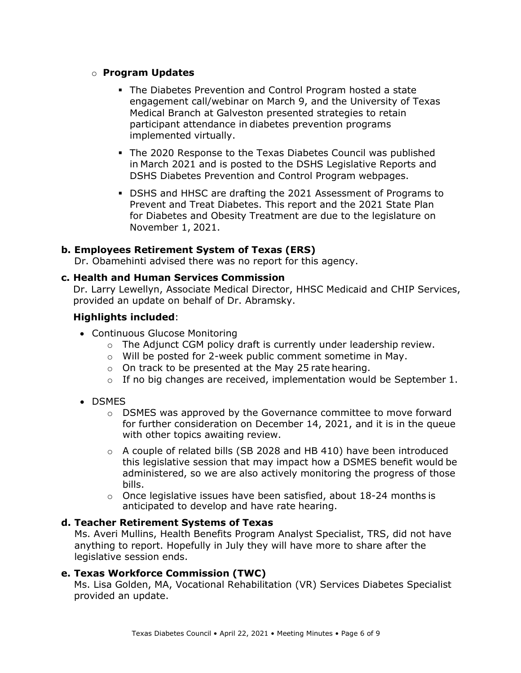## o **Program Updates**

- implemented virtually. The Diabetes Prevention and Control Program hosted a state engagement call/webinar on March 9, and the University of Texas Medical Branch at Galveston presented strategies to retain participant attendance in diabetes prevention programs
- The 2020 Response to the Texas Diabetes Council was published in March 2021 and is posted to the DSHS Legislative Reports and DSHS Diabetes Prevention and Control Program webpages.
- DSHS and HHSC are drafting the 2021 Assessment of Programs to November 1, 2021. Prevent and Treat Diabetes. This report and the 2021 State Plan for Diabetes and Obesity Treatment are due to the legislature on

### **b. Employees Retirement System of Texas (ERS)**

Dr. Obamehinti advised there was no report for this agency.

#### **c. Health and Human Services Commission**

Dr. Larry Lewellyn, Associate Medical Director, HHSC Medicaid and CHIP Services, provided an update on behalf of Dr. Abramsky.

### **Highlights included**:

- Continuous Glucose Monitoring
	- $\circ$  The Adjunct CGM policy draft is currently under leadership review.
	- o Will be posted for 2-week public comment sometime in May.
	- $\circ$  On track to be presented at the May 25 rate hearing.
	- $\circ$  If no big changes are received, implementation would be September 1.
- DSMES
	- for further consideration on December 14, 2021, and it is in the queue with other topics awaiting review.  $\circ$  DSMES was approved by the Governance committee to move forward
	- $\circ$  A couple of related bills (SB 2028 and HB 410) have been introduced this legislative session that may impact how a DSMES benefit would be administered, so we are also actively monitoring the progress of those bills.
	- anticipated to develop and have rate hearing.  $\circ$  Once legislative issues have been satisfied, about 18-24 months is

#### **d. Teacher Retirement Systems of Texas**

Ms. Averi Mullins, Health Benefits Program Analyst Specialist, TRS, did not have anything to report. Hopefully in July they will have more to share after the legislative session ends.

#### **e. Texas Workforce Commission (TWC)**

Ms. Lisa Golden, MA, Vocational Rehabilitation (VR) Services Diabetes Specialist provided an update.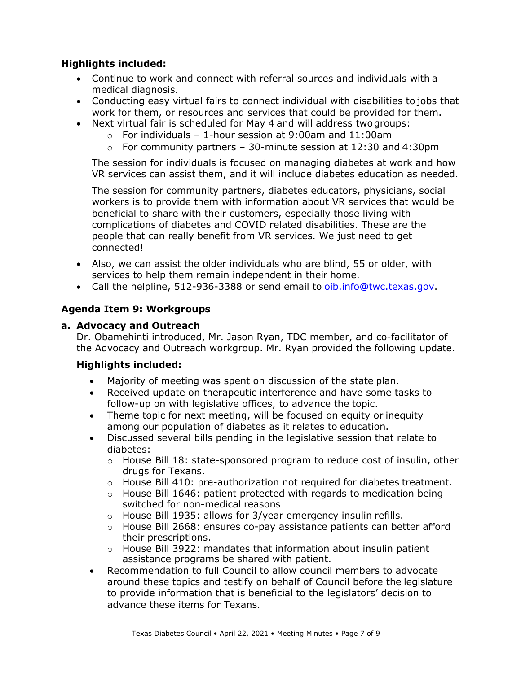# **Highlights included:**

- medical diagnosis. • Continue to work and connect with referral sources and individuals with a
- Conducting easy virtual fairs to connect individual with disabilities to jobs that work for them, or resources and services that could be provided for them.
- • Next virtual fair is scheduled for May 4 and will address twogroups:
	- $\circ$  For individuals 1-hour session at 9:00am and 11:00am
	- o For community partners 30-minute session at 12:30 and 4:30pm

The session for individuals is focused on managing diabetes at work and how VR services can assist them, and it will include diabetes education as needed.

The session for community partners, diabetes educators, physicians, social workers is to provide them with information about VR services that would be beneficial to share with their customers, especially those living with complications of diabetes and COVID related disabilities. These are the people that can really benefit from VR services. We just need to get connected!

- services to help them remain independent in their home. • Also, we can assist the older individuals who are blind, 55 or older, with
- Call the helpline, 512-936-3388 or send email to [oib.info@twc.texas.gov.](mailto:oib.info@twc.texas.gov)

# **Agenda Item 9: Workgroups**

## **a. Advocacy and Outreach**

Dr. Obamehinti introduced, Mr. Jason Ryan, TDC member, and co-facilitator of the Advocacy and Outreach workgroup. Mr. Ryan provided the following update.

- Majority of meeting was spent on discussion of the state plan.
- follow-up on with legislative offices, to advance the topic. Received update on therapeutic interference and have some tasks to
- Theme topic for next meeting, will be focused on equity or inequity among our population of diabetes as it relates to education.
- Discussed several bills pending in the legislative session that relate to diabetes:
	- drugs for Texans.  $\circ$  House Bill 18: state-sponsored program to reduce cost of insulin, other
	- $\circ$  House Bill 410: pre-authorization not required for diabetes treatment.
	- switched for non-medical reasons  $\circ$  House Bill 1646: patient protected with regards to medication being
	- o House Bill 1935: allows for 3/year emergency insulin refills.
	- $\circ$  House Bill 2668: ensures co-pay assistance patients can better afford their prescriptions.
	- assistance programs be shared with patient.  $\circ$  House Bill 3922: mandates that information about insulin patient
- advance these items for Texans. • Recommendation to full Council to allow council members to advocate around these topics and testify on behalf of Council before the legislature to provide information that is beneficial to the legislators' decision to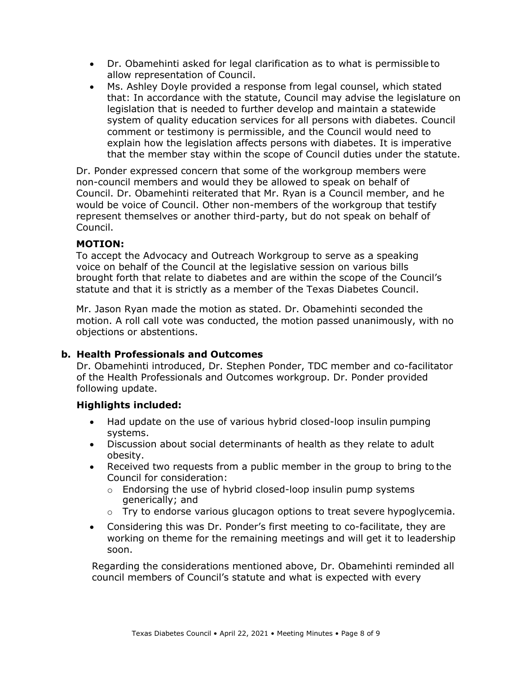- allow representation of Council. • Dr. Obamehinti asked for legal clarification as to what is permissible to
- Ms. Ashley Doyle provided a response from legal counsel, which stated that: In accordance with the statute, Council may advise the legislature on legislation that is needed to further develop and maintain a statewide system of quality education services for all persons with diabetes. Council comment or testimony is permissible, and the Council would need to explain how the legislation affects persons with diabetes. It is imperative that the member stay within the scope of Council duties under the statute.

Dr. Ponder expressed concern that some of the workgroup members were non-council members and would they be allowed to speak on behalf of Council. Dr. Obamehinti reiterated that Mr. Ryan is a Council member, and he would be voice of Council. Other non-members of the workgroup that testify represent themselves or another third-party, but do not speak on behalf of Council.

### **MOTION:**

To accept the Advocacy and Outreach Workgroup to serve as a speaking voice on behalf of the Council at the legislative session on various bills brought forth that relate to diabetes and are within the scope of the Council's statute and that it is strictly as a member of the Texas Diabetes Council.

Mr. Jason Ryan made the motion as stated. Dr. Obamehinti seconded the motion. A roll call vote was conducted, the motion passed unanimously, with no objections or abstentions.

## **b. Health Professionals and Outcomes**

Dr. Obamehinti introduced, Dr. Stephen Ponder, TDC member and co-facilitator of the Health Professionals and Outcomes workgroup. Dr. Ponder provided following update.

## **Highlights included:**

- Had update on the use of various hybrid closed-loop insulin pumping systems.
- Discussion about social determinants of health as they relate to adult obesity.
- Received two requests from a public member in the group to bring to the Council for consideration:
	- generically; and o Endorsing the use of hybrid closed-loop insulin pump systems
	- $\circ$  Try to endorse various glucagon options to treat severe hypoglycemia.
- Considering this was Dr. Ponder's first meeting to co-facilitate, they are working on theme for the remaining meetings and will get it to leadership soon.

Regarding the considerations mentioned above, Dr. Obamehinti reminded all council members of Council's statute and what is expected with every